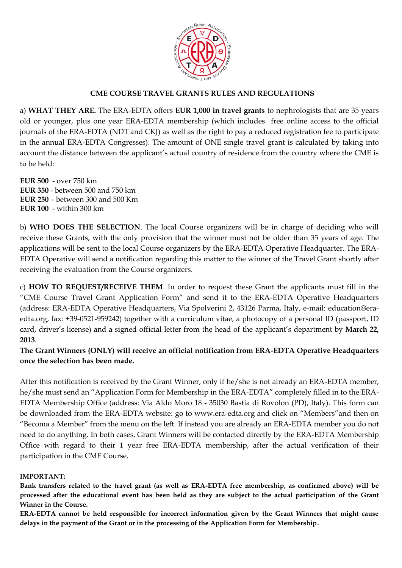

### **CME COURSE TRAVEL GRANTS RULES AND REGULATIONS**

a) **WHAT THEY ARE.** The ERA-EDTA offers **EUR 1,000 in travel grants** to nephrologists that are 35 years old or younger, plus one year ERA-EDTA membership (which includes free online access to the official journals of the ERA-EDTA (NDT and CKJ) as well as the right to pay a reduced registration fee to participate in the annual ERA-EDTA Congresses). The amount of ONE single travel grant is calculated by taking into account the distance between the applicant's actual country of residence from the country where the CME is to be held:

**EUR 500** - over 750 km **EUR 350** - between 500 and 750 km **EUR 250** – between 300 and 500 Km **EUR 100** - within 300 km

b) **WHO DOES THE SELECTION**. The local Course organizers will be in charge of deciding who will receive these Grants, with the only provision that the winner must not be older than 35 years of age. The applications will be sent to the local Course organizers by the ERA-EDTA Operative Headquarter. The ERA-EDTA Operative will send a notification regarding this matter to the winner of the Travel Grant shortly after receiving the evaluation from the Course organizers.

c) **HOW TO REQUEST/RECEIVE THEM**. In order to request these Grant the applicants must fill in the "CME Course Travel Grant Application Form" and send it to the ERA-EDTA Operative Headquarters (address: ERA-EDTA Operative Headquarters, Via Spolverini 2, 43126 Parma, Italy, e-mail: education@eraedta.org, fax: +39-0521-959242) together with a curriculum vitae, a photocopy of a personal ID (passport, ID card, driver's license) and a signed official letter from the head of the applicant's department by **March 22, 2013**.

**The Grant Winners (ONLY) will receive an official notification from ERA-EDTA Operative Headquarters once the selection has been made.** 

After this notification is received by the Grant Winner, only if he/she is not already an ERA-EDTA member, he/she must send an "Application Form for Membership in the ERA-EDTA" completely filled in to the ERA-EDTA Membership Office (address: Via Aldo Moro 18 - 35030 Bastia di Rovolon (PD), Italy). This form can be downloaded from the ERA-EDTA website: go to www.era-edta.org and click on "Members"and then on "Becoma a Member" from the menu on the left. If instead you are already an ERA-EDTA member you do not need to do anything. In both cases, Grant Winners will be contacted directly by the ERA-EDTA Membership Office with regard to their 1 year free ERA-EDTA membership, after the actual verification of their participation in the CME Course.

#### **IMPORTANT:**

**Bank transfers related to the travel grant (as well as ERA-EDTA free membership, as confirmed above) will be processed after the educational event has been held as they are subject to the actual participation of the Grant Winner in the Course.**

**ERA-EDTA cannot be held responsible for incorrect information given by the Grant Winners that might cause delays in the payment of the Grant or in the processing of the Application Form for Membership.**